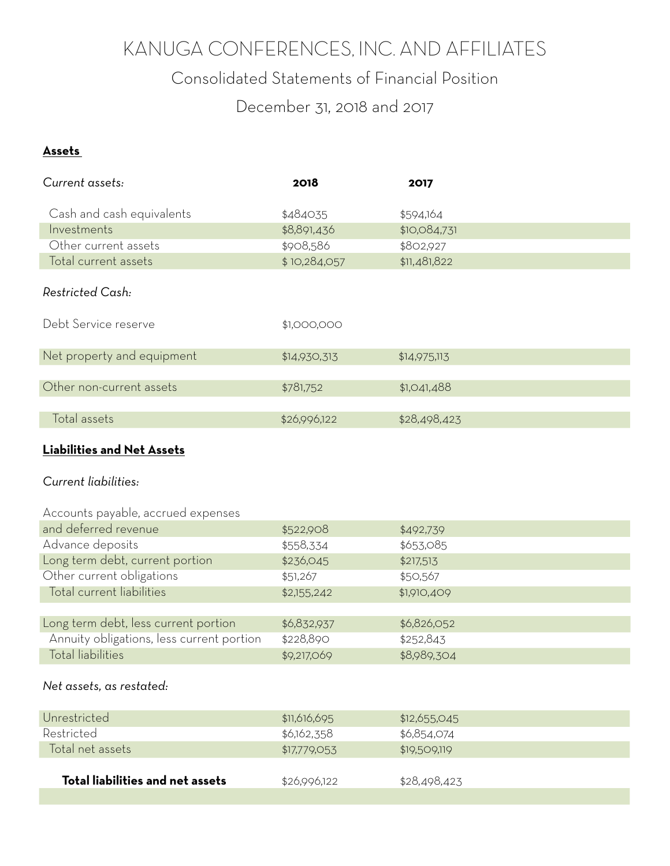# KANUGA CONFERENCES, INC. AND AFFILIATES

Consolidated Statements of Financial Position

December 31, 2018 and 2017

#### **Assets**

| Current assets:            | 2018         | 2017         |
|----------------------------|--------------|--------------|
|                            |              |              |
| Cash and cash equivalents  | \$484035     | \$594,164    |
| Investments                | \$8,891,436  | \$10,084,731 |
| Other current assets       | \$908,586    | \$802,927    |
| Total current assets       | \$10,284,057 | \$11,481,822 |
|                            |              |              |
| Restricted Cash:           |              |              |
|                            |              |              |
| Debt Service reserve       | \$1,000,000  |              |
|                            |              |              |
| Net property and equipment | \$14,930,313 | \$14,975,113 |
|                            |              |              |
| Other non-current assets   | \$781,752    | \$1,041,488  |
|                            |              |              |
| Total assets               | \$26,996,122 | \$28,498,423 |
|                            |              |              |

### **Liabilities and Net Assets**

#### *Current liabilities:*

| Accounts payable, accrued expenses        |             |             |
|-------------------------------------------|-------------|-------------|
| and deferred revenue                      | \$522,908   | \$492,739   |
| Advance deposits                          | \$558,334   | \$653,085   |
| Long term debt, current portion           | \$236,045   | \$217,513   |
| Other current obligations                 | \$51,267    | \$50,567    |
| Total current liabilities                 | \$2,155,242 | \$1,910,409 |
|                                           |             |             |
| Long term debt, less current portion      | \$6,832,937 | \$6,826,052 |
| Annuity obligations, less current portion | \$228,890   | \$252,843   |
| <b>Total liabilities</b>                  | \$9,217,069 | \$8,989,304 |
|                                           |             |             |

#### *Net assets, as restated:*

| Unrestricted                     | \$11,616,695 | \$12,655.045 |
|----------------------------------|--------------|--------------|
| Restricted                       | \$6,162,358  | \$6,854,074  |
| Total net assets                 | \$17,779,053 | \$19,509,119 |
|                                  |              |              |
| Total liabilities and net assets | \$26,996,122 | \$28,498,423 |
|                                  |              |              |